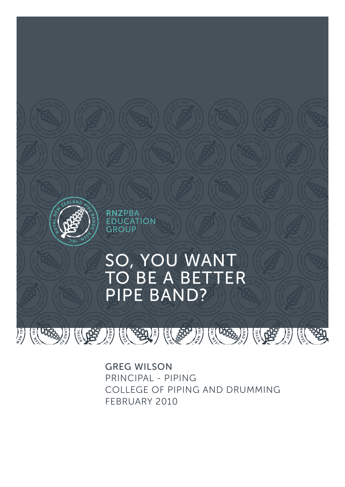

GREG WILSON PRINCIPAL - PIPING COLLEGE OF PIPING AND DRUMMING FEBRUARY 2010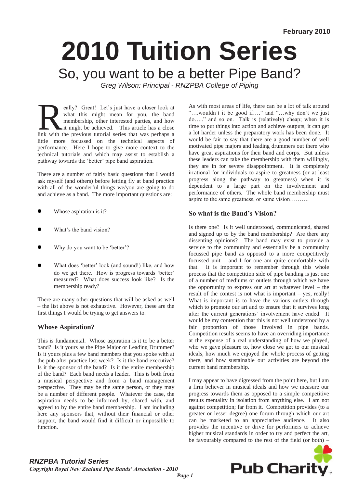# **2010 Tuition Series**  So, you want to be a better Pipe Band? *Greg Wilson: Principal - RNZPBA College of Piping*

eally? Great! Let's just have a closer look at what this might mean for you, the band membership, other interested parties, and how it might be achieved. This article has a close link with the previous tutorial series that what this might mean for you, the band membership, other interested parties, and how it might be achieved. This article has a close little more focussed on the technical aspects of performance. Here I hope to give more context to the technical tutorials and which may assist to establish a pathway towards the 'better' pipe band aspiration.

There are a number of fairly basic questions that I would ask myself (and others) before letting fly at band practice with all of the wonderful things we/you are going to do and achieve as a band. The more important questions are:

- Whose aspiration is it?
- What's the band vision?
- Why do you want to be 'better'?
- What does 'better' look (and sound!) like, and how do we get there. How is progress towards 'better' measured? What does success look like? Is the membership ready?

There are many other questions that will be asked as well – the list above is not exhaustive. However, these are the first things I would be trying to get answers to.

# **Whose Aspiration?**

This is fundamental. Whose aspiration is it to be a better band? Is it yours as the Pipe Major or Leading Drummer? Is it yours plus a few band members that you spoke with at the pub after practice last week? Is it the band executive? Is it the sponsor of the band? Is it the entire membership of the band? Each band needs a leader. This is both from a musical perspective and from a band management perspective. They may be the same person, or they may be a number of different people. Whatever the case, the aspiration needs to be informed by, shared with, and agreed to by the entire band membership. I am including here any sponsors that, without their financial or other support, the band would find it difficult or impossible to function.

As with most areas of life, there can be a lot of talk around "….wouldn"t it be good if…." and "…why don"t we just do….." and so on. Talk is (relatively) cheap; when it is time to put things into action and achieve outputs, it can get a lot harder unless the preparatory work has been done. It would be fair to say that there are a good number of well motivated pipe majors and leading drummers out there who have great aspirations for their band and corps. But unless these leaders can take the membership with them willingly, they are in for severe disappointment. It is completely irrational for individuals to aspire to greatness (or at least progress along the pathway to greatness) when it is dependent to a large part on the involvement and performance of others. The whole band membership must aspire to the same greatness, or same vision……….

# **So what is the Band's Vision?**

Is there one? Is it well understood, communicated, shared and signed up to by the band membership? Are there any dissenting opinions? The band may exist to provide a service to the community and essentially be a community focussed pipe band as opposed to a more competitively focussed unit – and I for one am quite comfortable with that. It is important to remember through this whole process that the competition side of pipe banding is just one of a number of mediums or outlets through which we have the opportunity to express our art at whatever level – the result of the contest is not what is important – yes, really! What is important is to have the various outlets through which to promote our art and to ensure that it survives long after the current generations' involvement have ended. It would be my contention that this is not well understood by a fair proportion of those involved in pipe bands. Competition results seems to have an overriding importance at the expense of a real understanding of how we played, who we gave pleasure to, how close we got to our musical ideals, how much we enjoyed the whole process of getting there, and how sustainable our activities are beyond the current band membership.

I may appear to have digressed from the point here, but I am a firm believer in musical ideals and how we measure our progress towards them as opposed to a simple competitive results mentality in isolation from anything else. I am not against competition; far from it. Competition provides (to a greater or lesser degree) one forum through which our art can be marketed to an appreciative audience. It also provides the incentive or drive for performers to achieve higher musical standards in order to try and perfect the art, be favourably compared to the rest of the field (or both) –



# *RNZPBA Tutorial Series*

*Copyright Royal New Zealand Pipe Bands' Association - 2010*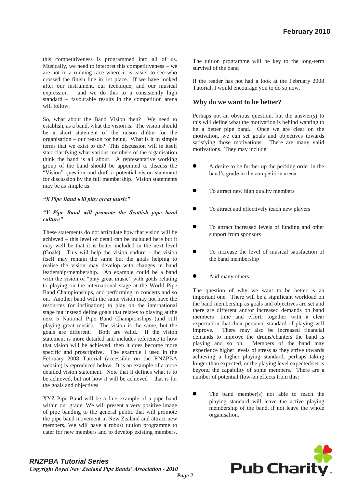this competitiveness is programmed into all of us. Musically, we need to interpret this competitiveness – we are not in a running race where it is easier to see who crossed the finish line in 1st place. If we have looked after our instrument, our technique, and our musical expression – and we do this to a consistently high standard – favourable results in the competition arena will follow.

So, what about the Band Vision then? We need to establish, as a band, what the vision is. The vision should be a short statement of the raison d"être for the organisation – our reason for being. What is it in simple terms that we exist to do? This discussion will in itself start clarifying what various members of the organisation think the band is all about. A representative working group of the band should be appointed to discuss the "Vision" question and draft a potential vision statement for discussion by the full membership. Vision statements may be as simple as:

#### *"X Pipe Band will play great music"*

#### *"Y Pipe Band will promote the Scottish pipe band culture"*

These statements do not articulate how that vision will be achieved – this level of detail can be included here but it may well be that it is better included in the next level (Goals). This will help the vision endure – the vision itself may remain the same but the goals helping to realise the vision may develop with changes in band leadership/membership. An example could be a band with the vision of "play great music" with goals relating to playing on the international stage at the World Pipe Band Championships, and performing in concerts and so on. Another band with the same vision may not have the resources (or inclination) to play on the international stage but instead define goals that relates to playing at the next 5 National Pipe Band Championships (and still playing great music). The vision is the same, but the goals are different. Both are valid. If the vision statement is more detailed and includes reference to how that vision will be achieved, then it does become more specific and proscriptive. The example I used in the February 2008 Tutorial (accessible on the RNZPBA website) is reproduced below. It is an example of a more detailed vision statement. Note that it defines what is to be achieved, but not how it will be achieved – that is for the goals and objectives.

XYZ Pipe Band will be a fine example of a pipe band within our grade. We will present a very positive image of pipe banding to the general public that will promote the pipe band movement in New Zealand and attract new members. We will have a robust tuition programme to cater for new members and to develop existing members. The tuition programme will be key to the long-term survival of the band

If the reader has not had a look at the February 2008 Tutorial, I would encourage you to do so now.

#### **Why do we want to be better?**

Perhaps not an obvious question, but the answer(s) to this will define what the motivation is behind wanting to be a better pipe band. Once we are clear on the motivation, we can set goals and objectives towards satisfying those motivations. There are many valid motivations. They may include:

- A desire to be further up the pecking order in the band"s grade in the competition arena
- To attract new high quality members
- To attract and effectively teach new players
- To attract increased levels of funding and other support from sponsors
- To increase the level of musical satisfaction of the band membership
- And many others

The question of why we want to be better is an important one. There will be a significant workload on the band membership as goals and objectives are set and there are different and/or increased demands on band members" time and effort, together with a clear expectation that their personal standard of playing will improve. There may also be increased financial demands to improve the drums/chanters the band is playing and so on. Members of the band may experience higher levels of stress as they strive towards achieving a higher playing standard, perhaps taking longer than expected, or the playing level expected/set is beyond the capability of some members. There are a number of potential flow-on effects from this:

The band member(s) not able to reach the playing standard will leave the active playing membership of the band, if not leave the whole organisation.

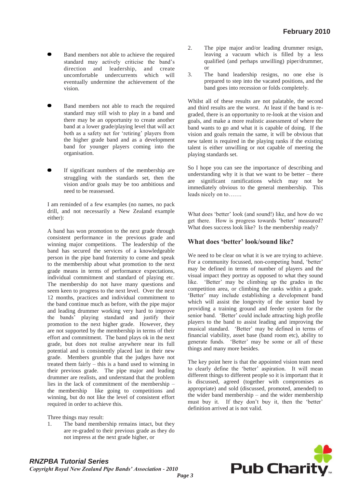- Band members not able to achieve the required standard may actively criticise the band"s direction and leadership, and create uncomfortable undercurrents which will eventually undermine the achievement of the vision.
- Band members not able to reach the required standard may still wish to play in a band and there may be an opportunity to create another band at a lower grade/playing level that will act both as a safety net for "retiring" players from the higher grade band and as a development band for younger players coming into the organisation.
- If significant numbers of the membership are struggling with the standards set, then the vision and/or goals may be too ambitious and need to be reassessed.

I am reminded of a few examples (no names, no pack drill, and not necessarily a New Zealand example either):

A band has won promotion to the next grade through consistent performance in the previous grade and winning major competitions. The leadership of the band has secured the services of a knowledgeable person in the pipe band fraternity to come and speak to the membership about what promotion to the next grade means in terms of performance expectations, individual commitment and standard of playing etc. The membership do not have many questions and seem keen to progress to the next level. Over the next 12 months, practices and individual commitment to the band continue much as before, with the pipe major and leading drummer working very hard to improve the bands" playing standard and justify their promotion to the next higher grade. However, they are not supported by the membership in terms of their effort and commitment. The band plays ok in the next grade, but does not realise anywhere near its full potential and is consistently placed last in their new grade. Members grumble that the judges have not treated them fairly – this is a band used to winning in their previous grade. The pipe major and leading drummer are realists, and understand that the problem lies in the lack of commitment of the membership – the membership like going to competitions and winning, but do not like the level of consistent effort required in order to achieve this.

Three things may result:

1. The band membership remains intact, but they are re-graded to their previous grade as they do not impress at the next grade higher, or

- 2. The pipe major and/or leading drummer resign, leaving a vacuum which is filled by a less qualified (and perhaps unwilling) piper/drummer, or
- 3. The band leadership resigns, no one else is prepared to step into the vacated positions, and the band goes into recession or folds completely.

Whilst all of these results are not palatable, the second and third results are the worst. At least if the band is regraded, there is an opportunity to re-look at the vision and goals, and make a more realistic assessment of where the band wants to go and what it is capable of doing. If the vision and goals remain the same, it will be obvious that new talent is required in the playing ranks if the existing talent is either unwilling or not capable of meeting the playing standards set.

So I hope you can see the importance of describing and understanding why it is that we want to be better  $-$  there are significant ramifications which may not be immediately obvious to the general membership. This leads nicely on to…….

What does 'better' look (and sound!) like, and how do we get there. How is progress towards 'better' measured? What does success look like? Is the membership ready?

### **What does 'better' look/sound like?**

We need to be clear on what it is we are trying to achieve. For a community focussed, non-competing band, 'better' may be defined in terms of number of players and the visual impact they portray as opposed to what they sound like. 'Better' may be climbing up the grades in the competition area, or climbing the ranks within a grade. "Better" may include establishing a development band which will assist the longevity of the senior band by providing a training ground and feeder system for the senior band. 'Better' could include attracting high profile players to the band to assist leading and improving the musical standard. 'Better' may be defined in terms of financial viability, asset base (band room etc), ability to generate funds. "Better" may be some or all of these things and many more besides.

The key point here is that the appointed vision team need to clearly define the 'better' aspiration. It will mean different things to different people so it is important that it is discussed, agreed (together with compromises as appropriate) and sold (discussed, promoted, amended) to the wider band membership – and the wider membership must buy it. If they don't buy it, then the 'better' definition arrived at is not valid.

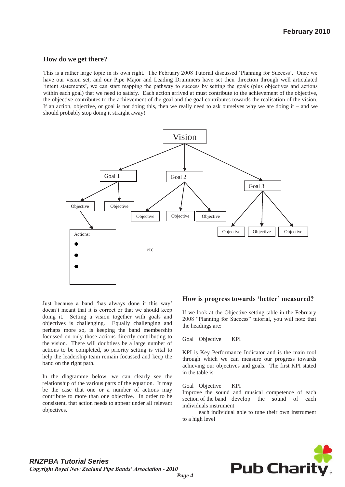#### **How do we get there?**

This is a rather large topic in its own right. The February 2008 Tutorial discussed "Planning for Success". Once we have our vision set, and our Pipe Major and Leading Drummers have set their direction through well articulated "intent statements", we can start mapping the pathway to success by setting the goals (plus objectives and actions within each goal) that we need to satisfy. Each action arrived at must contribute to the achievement of the objective, the objective contributes to the achievement of the goal and the goal contributes towards the realisation of the vision. If an action, objective, or goal is not doing this, then we really need to ask ourselves why we are doing it – and we should probably stop doing it straight away!



Just because a band "has always done it this way" doesn"t meant that it is correct or that we should keep doing it. Setting a vision together with goals and objectives is challenging. Equally challenging and perhaps more so, is keeping the band membership focussed on only those actions directly contributing to the vision. There will doubtless be a large number of actions to be completed, so priority setting is vital to help the leadership team remain focussed and keep the band on the right path.

In the diagramme below, we can clearly see the relationship of the various parts of the equation. It may be the case that one or a number of actions may contribute to more than one objective. In order to be consistent, that action needs to appear under all relevant objectives.

## **How is progress towards 'better' measured?**

If we look at the Objective setting table in the February 2008 "Planning for Success" tutorial, you will note that the headings are:

#### Goal Objective KPI

KPI is Key Performance Indicator and is the main tool through which we can measure our progress towards achieving our objectives and goals. The first KPI stated in the table is:

#### Goal Objective KPI

Improve the sound and musical competence of each section of the band develop the sound of each individuals instrument

each individual able to tune their own instrument to a high level